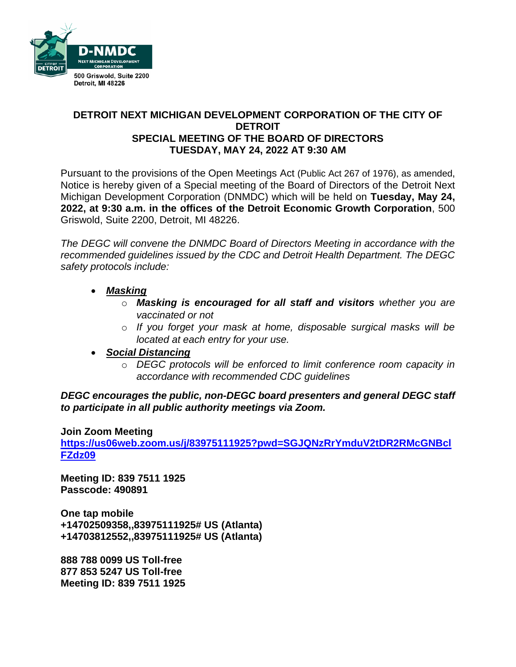

# **DETROIT NEXT MICHIGAN DEVELOPMENT CORPORATION OF THE CITY OF DETROIT SPECIAL MEETING OF THE BOARD OF DIRECTORS TUESDAY, MAY 24, 2022 AT 9:30 AM**

Pursuant to the provisions of the Open Meetings Act (Public Act 267 of 1976), as amended, Notice is hereby given of a Special meeting of the Board of Directors of the Detroit Next Michigan Development Corporation (DNMDC) which will be held on **Tuesday, May 24, 2022, at 9:30 a.m. in the offices of the Detroit Economic Growth Corporation**, 500 Griswold, Suite 2200, Detroit, MI 48226.

*The DEGC will convene the DNMDC Board of Directors Meeting in accordance with the recommended guidelines issued by the CDC and Detroit Health Department. The DEGC safety protocols include:*

- *Masking*
	- o *Masking is encouraged for all staff and visitors whether you are vaccinated or not*
	- o *If you forget your mask at home, disposable surgical masks will be located at each entry for your use.*

## • *Social Distancing*

o *DEGC protocols will be enforced to limit conference room capacity in accordance with recommended CDC guidelines*

*DEGC encourages the public, non-DEGC board presenters and general DEGC staff to participate in all public authority meetings via Zoom.* 

#### **Join Zoom Meeting**

**[https://us06web.zoom.us/j/83975111925?pwd=SGJQNzRrYmduV2tDR2RMcGNBcl](https://us06web.zoom.us/j/83975111925?pwd=SGJQNzRrYmduV2tDR2RMcGNBclFZdz09) [FZdz09](https://us06web.zoom.us/j/83975111925?pwd=SGJQNzRrYmduV2tDR2RMcGNBclFZdz09)**

**Meeting ID: 839 7511 1925 Passcode: 490891** 

**One tap mobile +14702509358,,83975111925# US (Atlanta) +14703812552,,83975111925# US (Atlanta)** 

**888 788 0099 US Toll-free 877 853 5247 US Toll-free Meeting ID: 839 7511 1925**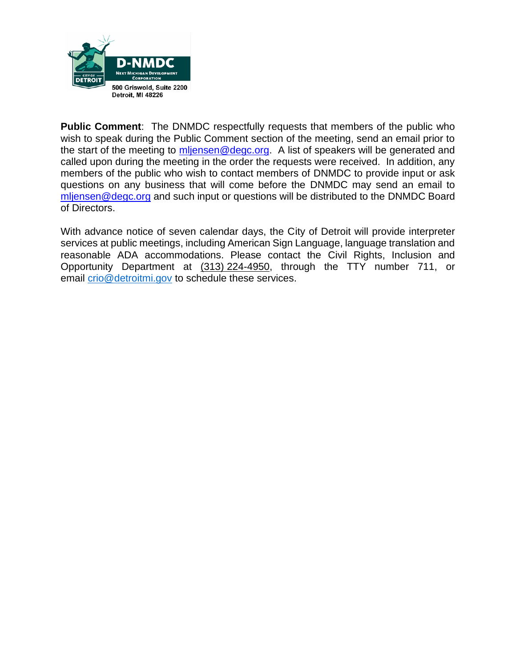

**Public Comment**: The DNMDC respectfully requests that members of the public who wish to speak during the Public Comment section of the meeting, send an email prior to the start of the meeting to [mljensen@degc.org.](mailto:mljensen@degc.org) A list of speakers will be generated and called upon during the meeting in the order the requests were received. In addition, any members of the public who wish to contact members of DNMDC to provide input or ask questions on any business that will come before the DNMDC may send an email to [mljensen@degc.org](mailto:mljensen@degc.org) and such input or questions will be distributed to the DNMDC Board of Directors.

With advance notice of seven calendar days, the City of Detroit will provide interpreter services at public meetings, including American Sign Language, language translation and reasonable ADA accommodations. Please contact the Civil Rights, Inclusion and Opportunity Department at (313) 224-4950, through the TTY number 711, or email [crio@detroitmi.gov](mailto:crio@detroitmi.gov) to schedule these services.